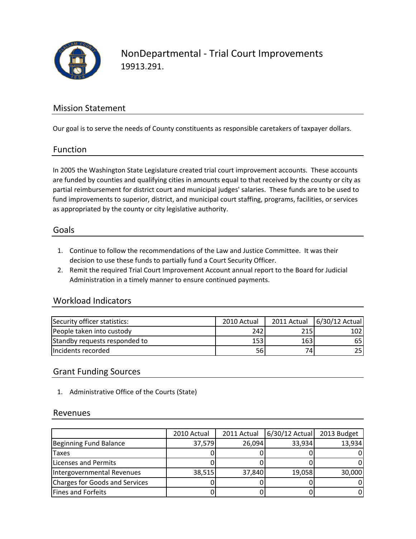

## Mission Statement

Our goal is to serve the needs of County constituents as responsible caretakers of taxpayer dollars.

#### Function

In 2005 the Washington State Legislature created trial court improvement accounts. These accounts are funded by counties and qualifying cities in amounts equal to that received by the county or city as partial reimbursement for district court and municipal judges' salaries. These funds are to be used to fund improvements to superior, district, and municipal court staffing, programs, facilities, or services as appropriated by the county or city legislative authority.

#### Goals

- 1. Continue to follow the recommendations of the Law and Justice Committee. It was their decision to use these funds to partially fund a Court Security Officer.
- 2. Remit the required Trial Court Improvement Account annual report to the Board for Judicial Administration in a timely manner to ensure continued payments.

## Workload Indicators

| Security officer statistics:  | 2010 Actual |            | 2011 Actual   6/30/12 Actual |
|-------------------------------|-------------|------------|------------------------------|
| People taken into custody     | 242         | 215I       | 102l                         |
| Standby requests responded to | 153         | <b>163</b> | 65                           |
| Incidents recorded            | 56          | 74I        | 25                           |

## Grant Funding Sources

1. Administrative Office of the Courts (State)

#### Revenues

|                                       | 2010 Actual | 2011 Actual | $6/30/12$ Actual | 2013 Budget |
|---------------------------------------|-------------|-------------|------------------|-------------|
| <b>Beginning Fund Balance</b>         | 37,579      | 26,094      | 33,934           | 13,934      |
| <b>Taxes</b>                          |             |             |                  |             |
| Licenses and Permits                  |             |             |                  |             |
| Intergovernmental Revenues            | 38,515      | 37,840      | 19,058           | 30,000      |
| <b>Charges for Goods and Services</b> |             |             |                  |             |
| <b>Fines and Forfeits</b>             |             |             |                  |             |